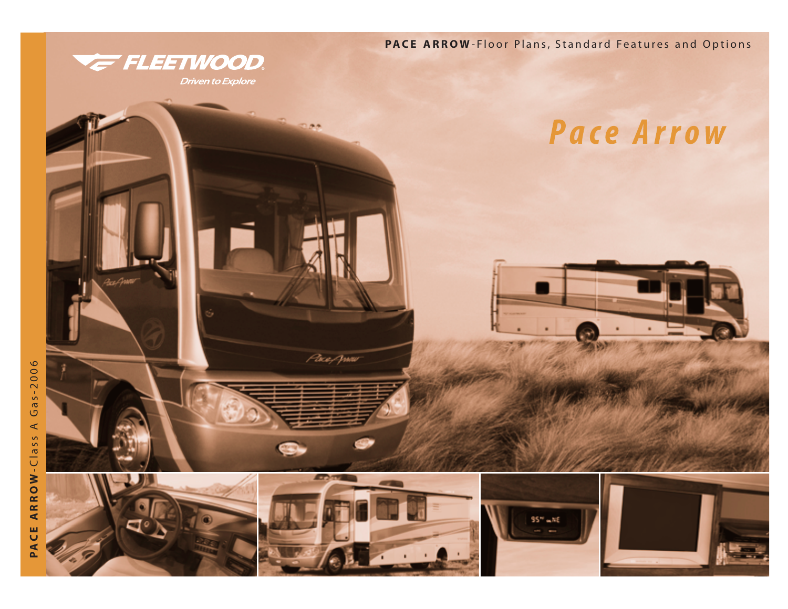

**Driven to Explore** 

**PACE ARROW** -Floor Plans, Standard Features and Options

**Pace Arrow** 

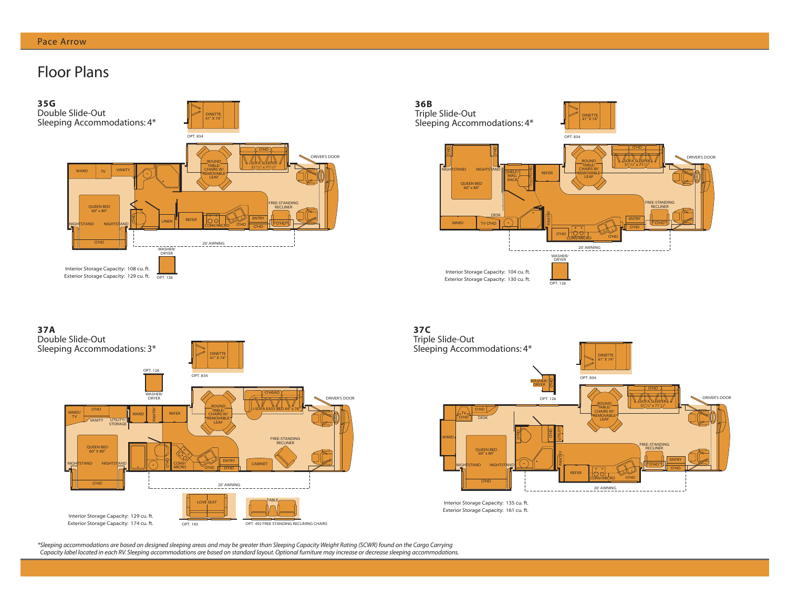# Floor Plans





O'HD VANITY UTILITY/ STORAGE O'HD O'HD O'HEAD WARD  $\begin{array}{c|c}\n\text{WARD} & \text{O'HD} \\
\hline\n\text{TV} & \text{WARD} \\
\hline\n\end{array}$  WARD WASHER/ DRYER QUEEN BED 60" X 80" OPT. 126 FREE-STANDING **RECLINER** CABINET TABLE REFER DRIVER'S DOOR DINETTE 41" X 74" OPT. 834 OPT. 193 OPT. 492 FREE STANDING RECLINING CHAIRS LOVE SEAT 20' AWNING NIGHTSTAND NIGHTSTAND J-SOFA EASY BED 44" x 76"  $\frac{Q}{P}$  CONV/ ROUND TABLE/ CHAIRS W/ REMOVABLE LEAF Interior Storage Capacity: 129 cu. ft. Exterior Storage Capacity: 174 cu. ft. **37A** Double Slide-Out Sleeping Accommodations: 3\*



Interior Storage Capacity: 135 cu. ft. Exterior Storage Capacity: 161 cu. ft.

*\*Sleeping accommodations are based on designed sleeping areas and may be greater than Sleeping Capacity Weight Rating (SCWR) found on the Cargo Carrying Capacity label located in each RV. Sleeping accommodations are based on standard layout. Optional furniture may increase or decrease sleeping accommodations.*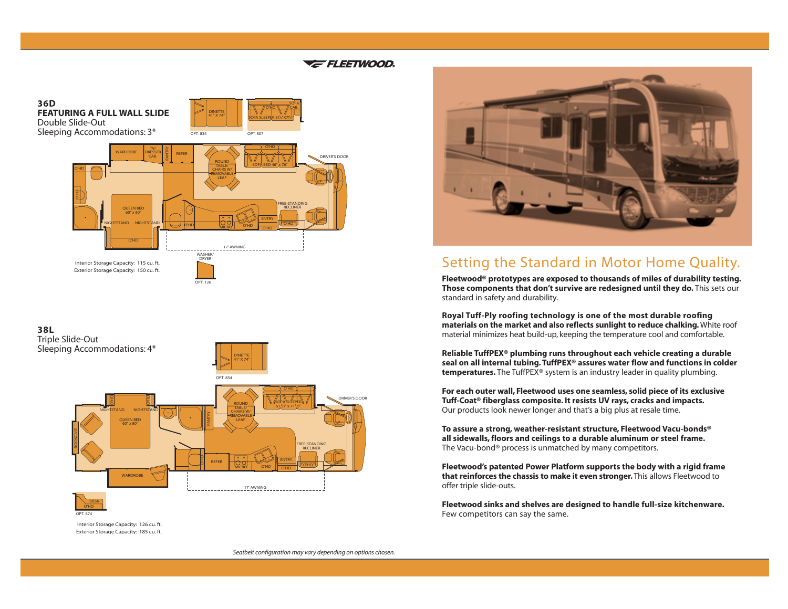### **E** FLEETWOOD.

**36D FEATURING A FULL WALL SLIDE** Double Slide-Out Sleeping Accommodations: 3\*



DINETTE 41" X 74" O'HD

SOFA SLEEPER 511/2"X711/2"

 $OPT. 807$ 

CAB.

 $OPT. 834$ 

## **38L**

Triple Slide-Out Sleeping Accommodations: 4\*



Interior Storage Capacity: 126 cu. ft. Exterior Storage Capacity: 185 cu. ft.

OPT. 874



# Setting the Standard in Motor Home Quality.

**Fleetwood® prototypes are exposed to thousands of miles of durability testing. Those components that don't survive are redesigned until they do.** This sets our standard in safety and durability.

**Royal Tuff-Ply roofing technology is one of the most durable roofing materials on the market and also reflects sunlight to reduce chalking.**White roof material minimizes heat build-up, keeping the temperature cool and comfortable.

**Reliable TuffPEX® plumbing runs throughout each vehicle creating a durable seal on all internal tubing. TuffPEX® assures water flow and functions in colder temperatures.** The TuffPEX® system is an industry leader in quality plumbing.

**For each outer wall, Fleetwood uses one seamless, solid piece of its exclusive Tuff-Coat® fiberglass composite. It resists UV rays, cracks and impacts.** Our products look newer longer and that's a big plus at resale time.

**To assure a strong, weather-resistant structure, Fleetwood Vacu-bonds® all sidewalls, floors and ceilings to a durable aluminum or steel frame.** The Vacu-bond® process is unmatched by many competitors.

**Fleetwood's patented Power Platform supports the body with a rigid frame that reinforces the chassis to make it even stronger.** This allows Fleetwood to offer triple slide-outs.

**Fleetwood sinks and shelves are designed to handle full-size kitchenware.** Few competitors can say the same.

*Seatbelt configuration may vary depending on options chosen.*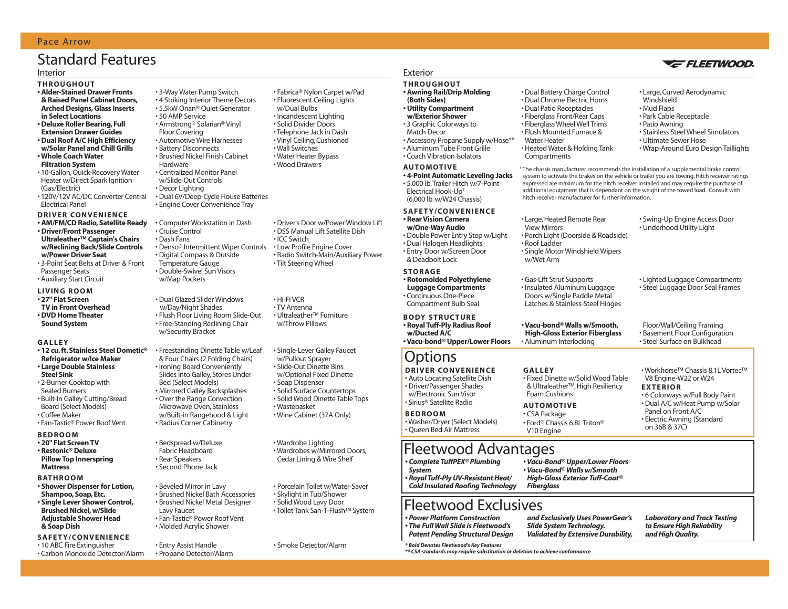#### Pace Arrow

# Standard Features

#### **THROUGHOUT**

- **Alder-Stained Drawer Fronts & Raised Panel Cabinet Doors, Arched Designs, Glass Inserts in Select Locations**
- **Deluxe Roller Bearing, Full Extension Drawer Guides**
- **Dual Roof A/C High Efficiency w/Solar Panel and Chill Grills**
- **Whole Coach Water Filtration System**
- 10-Gallon, Quick-Recovery Water Heater w/Direct Spark Ignition (Gas/Electric)
- 120V/12V AC/DC Converter Central Electrical Panel
- **DRIVER CONVENIENCE**
- **AM/FM/CD Radio, Satellite Ready • Driver/Front Passenger Ultraleather™ Captain's Chairs w/Reclining Back/Slide Controls w/Power Driver Seat**
- 3-Point Seat Belts at Driver & Front Passenger Seats
- Auxiliary Start Circuit
- **LIVING ROOM**
- **27" Flat Screen TV in Front Overhead • DVD Home Theater Sound System**

#### **GALLEY**

- **12 cu. ft. Stainless Steel Dometic® Refrigerator w/Ice Maker • Large Double Stainless Steel Sink**
- 2-Burner Cooktop with Sealed Burners
- Built-In Galley Cutting/Bread Board (Select Models)
- Coffee Maker
- Fan-Tastic® Power Roof Vent

#### **BEDROOM**

**• 20" Flat Screen TV • Restonic® Deluxe Pillow Top Innerspring Mattress**

#### **BATHROOM**

- **Shower Dispenser for Lotion, Shampoo, Soap, Etc. • Single Lever Shower Control, Brushed Nickel, w/Slide**
- **Adjustable Shower Head & Soap Dish SAFETY/CONVENIENCE**

• 10 ABC Fire Extinguisher • Carbon Monoxide Detector/Alarm

- 3-Way Water Pump Switch • 4 Striking Interior Theme Decors • 5.5kW Onan® Quiet Generator • 50 AMP Service • Armstrong® Solarian® Vinyl Floor Covering • Automotive Wire Harnesses • Battery Disconnects • Brushed Nickel Finish Cabinet Hardware • Centralized Monitor Panel w/Slide-Out Controls • Decor Lighting • Dual 6V/Deep-Cycle House Batteries • Engine Cover Convenience Tray • Computer Workstation in Dash
- Cruise Control • Dash Fans • Denso® Intermittent Wiper Controls • Digital Compass & Outside Temperature Gauge • Double-Swivel Sun Visors w/Map Pockets

• Dual Glazed Slider Windows w/Day/Night Shades • Flush Floor Living Room Slide-Out • Free-Standing Reclining Chair w/Security Bracket

• Freestanding Dinette Table w/Leaf & Four Chairs (2 Folding Chairs) • Ironing Board Conveniently Slides into Galley, Stores Under Bed (Select Models) • Mirrored Galley Backsplashes • Over the Range Convection Microwave Oven, Stainless w/Built-in Rangehood & Light • Radius Corner Cabinetry

• Bedspread w/Deluxe Fabric Headboard • Rear Speakers • Second Phone Jack

• Entry Assist Handle

• Beveled Mirror in Lavy • Brushed Nickel Bath Accessories • Brushed Nickel Metal Designer Lavy Faucet • Fan-Tastic® Power Roof Vent • Molded Acrylic Shower

• Propane Detector/Alarm

Interior Exterior

### **THROUGHOUT**

- **Awning Rail/Drip Molding (Both Sides)**
- **Utility Compartment**
- **w/Exterior Shower** • 3 Graphic Colorways to
- Match Decor
- Accessory Propane Supply w/Hose\*\*
- Aluminum Tube Front Grille • Coach Vibration Isolators

#### **AUTOMOTIVE**

**• 4-Point Automatic Leveling Jacks** • 5,000 lb.Trailer Hitch w/7-Point Electrical Hook-Up† (6,000 lb. w/W24 Chassis)

#### **SAFETY/CONV**

**• Rear Vision Cam w/One-Way Audio**  $\cdot$  Double Power En • Dual Halogen He • Entry Door w/Scr & Deadbolt Lock

#### **STORAGE**

**• Rotomolded Pol Luggage Compa** • Continuous One-Compartment Bu

#### **BODY STRUCT • Royal Tuff-Ply R**

**w/Ducted A/C • Vacu-bond® Up** 

# **Options**

**DRIVER CON'** • Auto Locating Sa • Driver/Passenge w/Electronic Sur • Sirius® Satellite Radio

#### **BEDROOM**

• Washer/Dryer (Select Models) • Queen Bed Air Mattress

# Fleetwood Advantages

*• Complete TuffPEX® Plumbing System • Royal Tuff-Ply UV-Resistant Heat/ Cold Insulated Roofing Technology*

### Fleetwood Exclusives

- *Power Platform Construction • The Full Wall Slide is Fleetwood's Patent Pending Structural Design*
	- *Slide System Technology.*
- Smoke Detector/Alarm *\* Bold Denotes Fleetwood's Key Features*

*\*\* CSA standards may require substitution or deletion to achieve conformance*

- Large, Curved Aerodynamic
- Windshield
- Mud Flaps
- Park Cable Receptacle
- Patio Awning
- Stainless Steel Wheel Simulators • Ultimate Sewer Hose
- Wrap-Around Euro Design Taillights

† The chassis manufacturer recommends the installation of a supplemental brake control system to activate the brakes on the vehicle or trailer you are towing. Hitch receiver ratings expressed are maximum for the hitch receiver installed and may require the purchase of additional equipment that is dependant on the weight of the towed load. Consult with hitch receiver manufacturer for further information.

| VENIENCE<br>nera<br>dila<br>าtry Step w/Light<br>aadlights<br>reen Door | • Large, Heated Remote Rear<br><b>View Mirrors</b><br>• Porch Light (Doorside & Roadside)<br>• Roof Ladder<br>• Single Motor Windshield Wipers<br>w/Wet Arm | • Swing-Up Engine Access Door<br>• Underhood Utility Light                                                                                                              |
|-------------------------------------------------------------------------|-------------------------------------------------------------------------------------------------------------------------------------------------------------|-------------------------------------------------------------------------------------------------------------------------------------------------------------------------|
| lyethylene<br>artments<br>-Piece<br>ulb Seal                            | • Gas-Lift Strut Supports<br>• Insulated Aluminum Luggage<br>Doors w/Single Paddle Metal<br>Latches & Stainless-Steel Hinges                                | • Lighted Luggage Compartments<br>• Steel Luggage Door Seal Frames                                                                                                      |
| <b>TURE</b><br>adius Roof<br>per/Lower Floors                           | • Vacu-bond® Walls w/Smooth,<br><b>High-Gloss Exterior Fiberglass</b><br>• Aluminum Interlocking                                                            | Floor/Wall/Ceiling Framing<br>• Basement Floor Configuration<br>• Steel Surface on Bulkhead                                                                             |
| <b>VENIENCE</b><br>atellite Dish<br>r Shades<br>n Visor<br>Radio        | <b>GALLEY</b><br>• Fixed Dinette w/Solid Wood Table<br>& Ultraleather™, High Resiliency<br>Foam Cushions<br><b>AUTOMOTIVE</b><br>$CTAD = 100$               | • Workhorse™ Chassis 8.1L Vortec™<br>V8 Engine-W22 or W24<br><b>EXTERIOR</b><br>• 6 Colorways w/Full Body Paint<br>• Dual A/C w/Heat Pump w/Solar<br>Panel on Front A/C |

• CSA Package • Ford® Chassis 6.8L Triton® V10 Engine

• Dual Battery Charge Control • Dual Chrome Electric Horns • Dual Patio Receptacles • Fiberglass Front/Rear Caps • Fiberglass Wheel Well Trims • Flush Mounted Furnace &

• Heated Water & Holding Tank

Water Heater

**Compartments** 

- Electric Awning (Standard on 36B & 37C)
- *Vacu-Bond® Upper/Lower Floors • Vacu-Bond® Walls w/Smooth High-Gloss Exterior Tuff-Coat® Fiberglass*
- *and Exclusively Uses PowerGear's Laboratory and Track Testing and High Quality.*

*Validated by Extensive Durability,*

*to Ensure High Reliability* 



• Driver's Door w/Power Window Lift • DSS Manual Lift Satellite Dish • ICC Switch • Low Profile Engine Cover • Radio Switch-Main/Auxiliary Power • Tilt Steering Wheel

> • Wardrobe Lighting • Wardrobes w/Mirrored Doors, Cedar Lining & Wire Shelf

• Wastebasket • Wine Cabinet (37A Only)

• Single-Lever Galley Faucet w/Pullout Sprayer • Slide-Out Dinette Bins w/Optional Fixed Dinette • Soap Dispenser • Solid Surface Countertops • Solid Wood Dinette Table Tops

• Porcelain Toilet w/Water-Saver • Skylight in Tub/Shower • Solid Wood Lavy Door • Toilet Tank San-T-Flush™ System

• Hi-Fi VCR • TV Antenna • Ultraleather™ Furniture w/Throw Pillows

• Fabrica® Nylon Carpet w/Pad • Fluorescent Ceiling Lights w/Dual Bulbs • Incandescent Lighting • Solid Divider Doors • Telephone Jack in Dash • Vinyl Ceiling, Cushioned • Wall Switches • Water Heater Bypass • Wood Drawers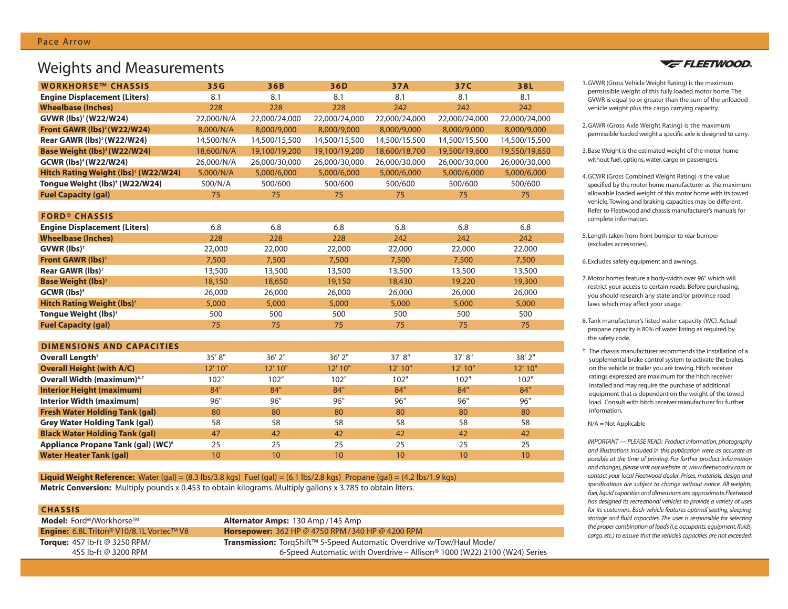## Weights and Measurements

| <b>WORKHORSE™ CHASSIS</b>                        | 35G        | 36B           | 36D           | 37A           | 37C           | 38L           |
|--------------------------------------------------|------------|---------------|---------------|---------------|---------------|---------------|
| <b>Engine Displacement (Liters)</b>              | 8.1        | 8.1           | 8.1           | 8.1           | 8.1           | 8.1           |
| <b>Wheelbase (Inches)</b>                        | 228        | 228           | 228           | 242           | 242           | 242           |
| GVWR (lbs)' (W22/W24)                            | 22,000/N/A | 22,000/24,000 | 22,000/24,000 | 22,000/24,000 | 22,000/24,000 | 22,000/24,000 |
| Front GAWR (lbs) <sup>2</sup> (W22/W24)          | 8,000/N/A  | 8,000/9,000   | 8,000/9,000   | 8,000/9,000   | 8,000/9,000   | 8,000/9,000   |
| Rear GAWR (lbs) <sup>2</sup> (W22/W24)           | 14,500/N/A | 14,500/15,500 | 14,500/15,500 | 14,500/15,500 | 14,500/15,500 | 14,500/15,500 |
| Base Weight (lbs) <sup>3</sup> (W22/W24)         | 18,600/N/A | 19,100/19,200 | 19,100/19,200 | 18,600/18,700 | 19,500/19,600 | 19,550/19,650 |
| <b>GCWR (lbs)<sup>4</sup> (W22/W24)</b>          | 26,000/N/A | 26,000/30,000 | 26,000/30,000 | 26,000/30,000 | 26,000/30,000 | 26,000/30,000 |
| Hitch Rating Weight (lbs) <sup>†</sup> (W22/W24) | 5,000/N/A  | 5,000/6,000   | 5,000/6,000   | 5,000/6,000   | 5,000/6,000   | 5,000/6,000   |
| Tongue Weight (lbs) <sup>+</sup> (W22/W24)       | 500/N/A    | 500/600       | 500/600       | 500/600       | 500/600       | 500/600       |
| <b>Fuel Capacity (gal)</b>                       | 75         | 75            | 75            | 75            | 75            | 75            |
|                                                  |            |               |               |               |               |               |
| <b>FORD® CHASSIS</b>                             |            |               |               |               |               |               |
| <b>Engine Displacement (Liters)</b>              | 6.8        | 6.8           | 6.8           | 6.8           | 6.8           | 6.8           |
| <b>Wheelbase (Inches)</b>                        | 228        | 228           | 228           | 242           | 242           | 242           |
| $GVWR$ (lbs) <sup>1</sup>                        | 22,000     | 22,000        | 22,000        | 22,000        | 22,000        | 22,000        |
| Front GAWR (lbs) <sup>2</sup>                    | 7,500      | 7,500         | 7,500         | 7,500         | 7,500         | 7,500         |
| Rear GAWR (lbs) <sup>2</sup>                     | 13,500     | 13,500        | 13,500        | 13,500        | 13,500        | 13,500        |
| <b>Base Weight (lbs)</b> <sup>3</sup>            | 18,150     | 18,650        | 19,150        | 18,430        | 19,220        | 19,300        |
| <b>GCWR</b> (lbs) <sup>4</sup>                   | 26,000     | 26,000        | 26,000        | 26,000        | 26,000        | 26,000        |
| <b>Hitch Rating Weight (lbs)<sup>+</sup></b>     | 5,000      | 5,000         | 5,000         | 5,000         | 5,000         | 5,000         |
| Tongue Weight (lbs) <sup>+</sup>                 | 500        | 500           | 500           | 500           | 500           | 500           |
| <b>Fuel Capacity (gal)</b>                       | 75         | 75            | 75            | 75            | 75            | 75            |

| <b>DIMENSIONS AND CAPACITIES</b> |  |
|----------------------------------|--|
|----------------------------------|--|

| Overall Length <sup>5</sup>                    | 35'8"   | $36'$ $2''$ | $36'$ $2''$     | 37'8''           | 37'8'' | 38' 2"  |
|------------------------------------------------|---------|-------------|-----------------|------------------|--------|---------|
| <b>Overall Height (with A/C)</b>               | 12' 10" | 12'10''     | 12' 10"         | 12' 10"          | 12'10" | 12' 10" |
| Overall Width (maximum) <sup>6,7</sup>         | 102"    | 102"        | 102"            | 102"             | 102"   | 102"    |
| <b>Interior Height (maximum)</b>               | 84"     | 84"         | 84"             | 84"              | 84"    | 84"     |
| <b>Interior Width (maximum)</b>                | 96"     | 96"         | 96"             | 96"              | 96"    | 96"     |
| <b>Fresh Water Holding Tank (gal)</b>          | 80      | 80          | 80              | 80               | 80     | 80      |
| <b>Grey Water Holding Tank (gal)</b>           | 58      | 58          | 58              | 58               | 58     | 58      |
| <b>Black Water Holding Tank (gal)</b>          | 47      | 42          | 42              | 42               | 42     | 42      |
| Appliance Propane Tank (gal) (WC) <sup>8</sup> | 25      | 25          | 25              | 25               | 25     | 25      |
| <b>Water Heater Tank (gal)</b>                 | 10      | 10          | 10 <sup>°</sup> | 10 <sup>10</sup> | 10     | 10      |

**Liquid Weight Reference:** Water (gal) = (8.3 lbs/3.8 kgs) Fuel (gal) = (6.1 lbs/2.8 kgs) Propane (gal) = (4.2 lbs/1.9 kgs) **Metric Conversion:** Multiply pounds x 0.453 to obtain kilograms. Multiply gallons x 3.785 to obtain liters.

#### **CHASSIS**

**Model:** Ford®**/**Workhorse™ **Alternator Amps:** 130 Amp /145 Amp **Engine:** 6.8L Triton® V10/8.1L Vortec™ V8 **Horsepower:** 362 HP @ 4750 RPM /340 HP @ 4200 RPM

**Torque:** 457 lb-ft @ 3250 RPM/ **Transmission:** TorqShift™ 5-Speed Automatic Overdrive w/Tow/Haul Mode/ 455 lb-ft @ 3200 RPM 6-Speed Automatic with Overdrive – Allison® 1000 (W22) 2100 (W24) Series



- 1.GVWR (Gross Vehicle Weight Rating) is the maximum permissible weight of this fully loaded motor home. The GVWR is equal to or greater than the sum of the unloaded vehicle weight plus the cargo carrying capacity.
- 2.GAWR (Gross Axle Weight Rating) is the maximum permissible loaded weight a specific axle is designed to carry.
- 3. Base Weight is the estimated weight of the motor home without fuel, options, water, cargo or passengers.
- 4.GCWR (Gross Combined Weight Rating) is the value specified by the motor home manufacturer as the maximum allowable loaded weight of this motor home with its towed vehicle. Towing and braking capacities may be different. Refer to Fleetwood and chassis manufacturer's manuals for complete information.
- 5. Length taken from front bumper to rear bumper (excludes accessories).
- 6. Excludes safety equipment and awnings.
- 7. Motor homes feature a body-width over 96" which will restrict your access to certain roads. Before purchasing, you should research any state and/or province road laws which may affect your usage.
- 8.Tank manufacturer's listed water capacity (WC). Actual propane capacity is 80% of water listing as required by the safety code.
- † The chassis manufacturer recommends the installation of a supplemental brake control system to activate the brakes on the vehicle or trailer you are towing. Hitch receiver ratings expressed are maximum for the hitch receiver installed and may require the purchase of additional equipment that is dependant on the weight of the towed load. Consult with hitch receiver manufacturer for further information.

#### N/A = Not Applicable

*IMPORTANT — PLEASE READ: Product information, photography and illustrations included in this publication were as accurate as possible at the time of printing. For further product information and changes, please visit our website at www.fleetwoodrv.com or contact your local Fleetwood dealer. Prices, materials, design and specifications are subject to change without notice. All weights, fuel, liquid capacities and dimensions are approximate.Fleetwood has designed its recreational vehicles to provide a variety of uses for its customers. Each vehicle features optimal seating, sleeping, storage and fluid capacities. The user is responsible for selecting the proper combination of loads (i.e. occupants, equipment, fluids, cargo, etc.) to ensure that the vehicle's capacities are not exceeded.*